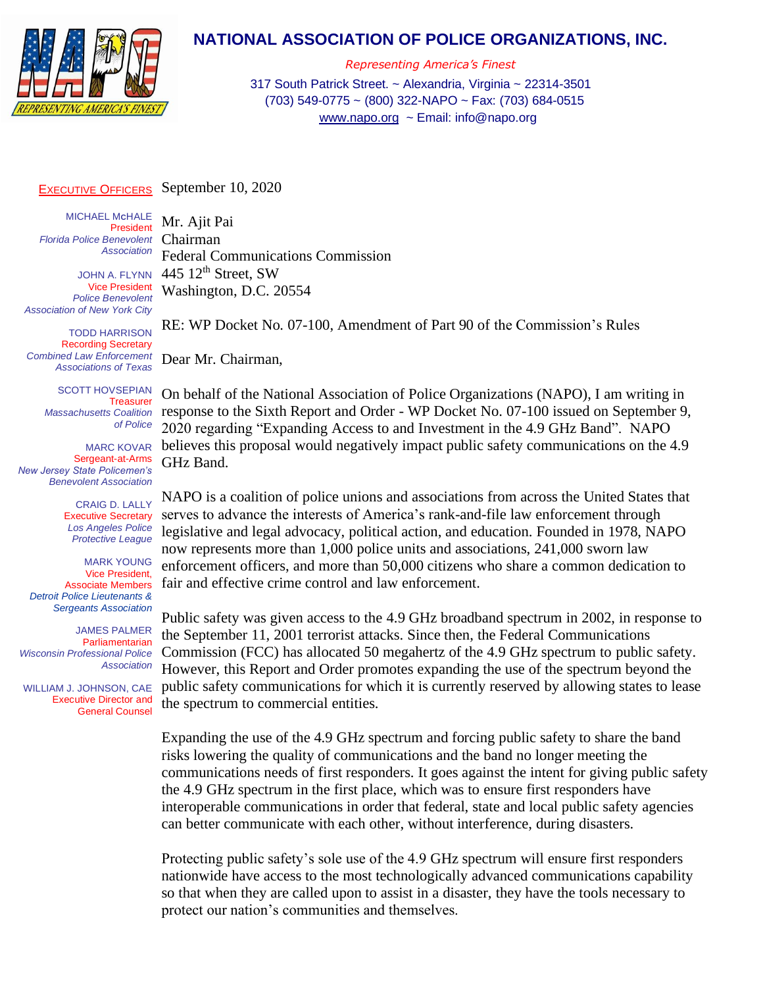

## **NATIONAL ASSOCIATION OF POLICE ORGANIZATIONS, INC.**

*Representing America's Finest* 317 South Patrick Street. ~ Alexandria, Virginia ~ 22314-3501 (703) 549-0775 ~ (800) 322-NAPO ~ Fax: (703) 684-0515 [www.napo.org](http://www.napo.org/) ~ Email: info@napo.org

## EXECUTIVE OFFICERS September 10, 2020

Mr. Ajit Pai

MICHAEL M**C**HALE President *Florida Police Benevolent Association*

JOHN A. FLYNN Vice President *Police Benevolent Association of New York City*

TODD HARRISON Recording Secretary *Combined Law Enforcement Associations of Texas*

> SCOTT HOVSEPIAN Treasurer *Massachusetts Coalition of Police*

MARC KOVAR Sergeant-at-Arms *New Jersey State Policemen's Benevolent Association*

> CRAIG D. LALLY Executive Secretary *Los Angeles Police Protective League*

MARK YOUNG Vice President, Associate Members *Detroit Police Lieutenants & Sergeants Association*

JAMES PALMER Parliamentarian *Wisconsin Professional Police Association*

 WILLIAM J. JOHNSON, CAE Executive Director and General Counsel

Chairman Federal Communications Commission 445  $12<sup>th</sup>$  Street, SW Washington, D.C. 20554

RE: WP Docket No. 07-100, Amendment of Part 90 of the Commission's Rules Dear Mr. Chairman,

On behalf of the National Association of Police Organizations (NAPO), I am writing in response to the Sixth Report and Order - WP Docket No. 07-100 issued on September 9, 2020 regarding "Expanding Access to and Investment in the 4.9 GHz Band". NAPO believes this proposal would negatively impact public safety communications on the 4.9 GHz Band.

NAPO is a coalition of police unions and associations from across the United States that serves to advance the interests of America's rank-and-file law enforcement through legislative and legal advocacy, political action, and education. Founded in 1978, NAPO now represents more than 1,000 police units and associations, 241,000 sworn law enforcement officers, and more than 50,000 citizens who share a common dedication to fair and effective crime control and law enforcement.

Public safety was given access to the 4.9 GHz broadband spectrum in 2002, in response to the September 11, 2001 terrorist attacks. Since then, the Federal Communications Commission (FCC) has allocated 50 megahertz of the 4.9 GHz spectrum to public safety. However, this Report and Order promotes expanding the use of the spectrum beyond the public safety communications for which it is currently reserved by allowing states to lease the spectrum to commercial entities.

Expanding the use of the 4.9 GHz spectrum and forcing public safety to share the band risks lowering the quality of communications and the band no longer meeting the communications needs of first responders. It goes against the intent for giving public safety the 4.9 GHz spectrum in the first place, which was to ensure first responders have interoperable communications in order that federal, state and local public safety agencies can better communicate with each other, without interference, during disasters.

Protecting public safety's sole use of the 4.9 GHz spectrum will ensure first responders nationwide have access to the most technologically advanced communications capability so that when they are called upon to assist in a disaster, they have the tools necessary to protect our nation's communities and themselves.